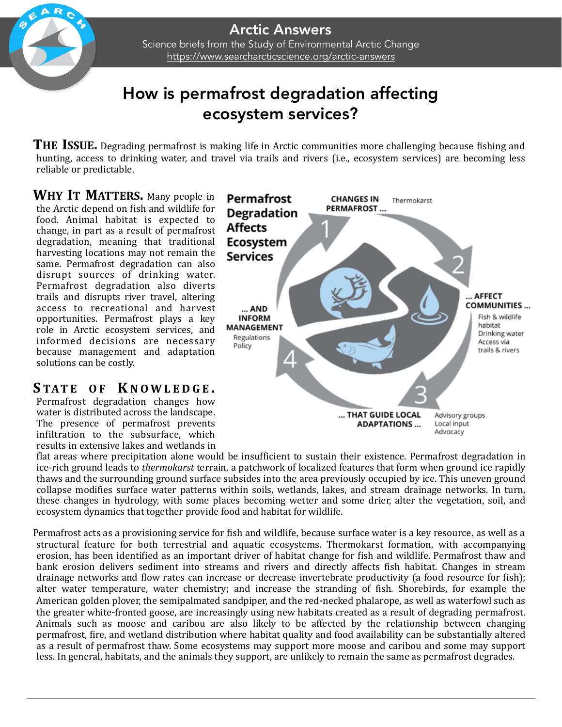## How is permafrost degradation affecting ecosystem services?

**THE ISSUE.** Degrading permafrost is making life in Arctic communities more challenging because fishing and hunting, access to drinking water, and travel via trails and rivers (i.e., ecosystem services) are becoming less reliable or predictable.

**WHY IT MATTERS.** Many people in the Arctic depend on fish and wildlife for food. Animal habitat is expected to change, in part as a result of permafrost degradation, meaning that traditional harvesting locations may not remain the same. Permafrost degradation can also disrupt sources of drinking water. Permafrost degradation also diverts trails and disrupts river travel, altering access to recreational and harvest opportunities. Permafrost plays a key role in Arctic ecosystem services, and informed decisions are necessary because management and adaptation solutions can be costly.

## **S TATE O F K NOWLEDGE .**

Permafrost degradation changes how water is distributed across the landscape. The presence of permafrost prevents infiltration to the subsurface, which results in extensive lakes and wetlands in



flat areas where precipitation alone would be insufficient to sustain their existence. Permafrost degradation in ice-rich ground leads to *thermokarst* terrain, a patchwork of localized features that form when ground ice rapidly thaws and the surrounding ground surface subsides into the area previously occupied by ice. This uneven ground collapse modifies surface water patterns within soils, wetlands, lakes, and stream drainage networks. In turn, these changes in hydrology, with some places becoming wetter and some drier, alter the vegetation, soil, and ecosystem dynamics that together provide food and habitat for wildlife.

Permafrost acts as a provisioning service for fish and wildlife, because surface water is a key resource, as well as a structural feature for both terrestrial and aquatic ecosystems. Thermokarst formation, with accompanying erosion, has been identified as an important driver of habitat change for fish and wildlife. Permafrost thaw and bank erosion delivers sediment into streams and rivers and directly affects fish habitat. Changes in stream drainage networks and flow rates can increase or decrease invertebrate productivity (a food resource for fish); alter water temperature, water chemistry; and increase the stranding of fish. Shorebirds, for example the American golden plover, the semipalmated sandpiper, and the red-necked phalarope, as well as waterfowl such as the greater white-fronted goose, are increasingly using new habitats created as a result of degrading permafrost. Animals such as moose and caribou are also likely to be affected by the relationship between changing permafrost, fire, and wetland distribution where habitat quality and food availability can be substantially altered as a result of permafrost thaw. Some ecosystems may support more moose and caribou and some may support less. In general, habitats, and the animals they support, are unlikely to remain the same as permafrost degrades.